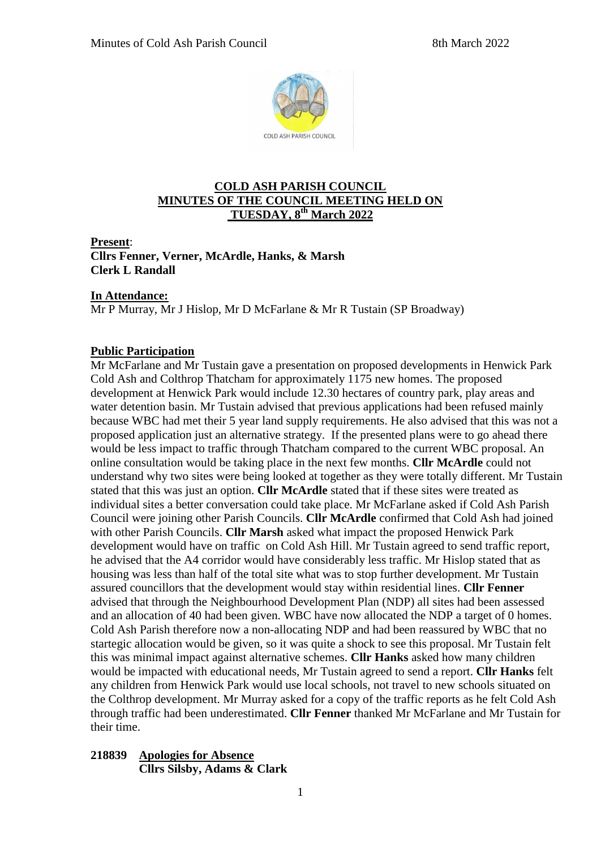

## **COLD ASH PARISH COUNCIL MINUTES OF THE COUNCIL MEETING HELD ON TUESDAY, 8 th March 2022**

**Present**:

**Cllrs Fenner, Verner, McArdle, Hanks, & Marsh Clerk L Randall**

### **In Attendance:**

Mr P Murray, Mr J Hislop, Mr D McFarlane & Mr R Tustain (SP Broadway)

### **Public Participation**

Mr McFarlane and Mr Tustain gave a presentation on proposed developments in Henwick Park Cold Ash and Colthrop Thatcham for approximately 1175 new homes. The proposed development at Henwick Park would include 12.30 hectares of country park, play areas and water detention basin. Mr Tustain advised that previous applications had been refused mainly because WBC had met their 5 year land supply requirements. He also advised that this was not a proposed application just an alternative strategy. If the presented plans were to go ahead there would be less impact to traffic through Thatcham compared to the current WBC proposal. An online consultation would be taking place in the next few months. **Cllr McArdle** could not understand why two sites were being looked at together as they were totally different. Mr Tustain stated that this was just an option. **Cllr McArdle** stated that if these sites were treated as individual sites a better conversation could take place. Mr McFarlane asked if Cold Ash Parish Council were joining other Parish Councils. **Cllr McArdle** confirmed that Cold Ash had joined with other Parish Councils. **Cllr Marsh** asked what impact the proposed Henwick Park development would have on traffic on Cold Ash Hill. Mr Tustain agreed to send traffic report, he advised that the A4 corridor would have considerably less traffic. Mr Hislop stated that as housing was less than half of the total site what was to stop further development. Mr Tustain assured councillors that the development would stay within residential lines. **Cllr Fenner** advised that through the Neighbourhood Development Plan (NDP) all sites had been assessed and an allocation of 40 had been given. WBC have now allocated the NDP a target of 0 homes. Cold Ash Parish therefore now a non-allocating NDP and had been reassured by WBC that no startegic allocation would be given, so it was quite a shock to see this proposal. Mr Tustain felt this was minimal impact against alternative schemes. **Cllr Hanks** asked how many children would be impacted with educational needs, Mr Tustain agreed to send a report. **Cllr Hanks** felt any children from Henwick Park would use local schools, not travel to new schools situated on the Colthrop development. Mr Murray asked for a copy of the traffic reports as he felt Cold Ash through traffic had been underestimated. **Cllr Fenner** thanked Mr McFarlane and Mr Tustain for their time.

### **218839 Apologies for Absence Cllrs Silsby, Adams & Clark**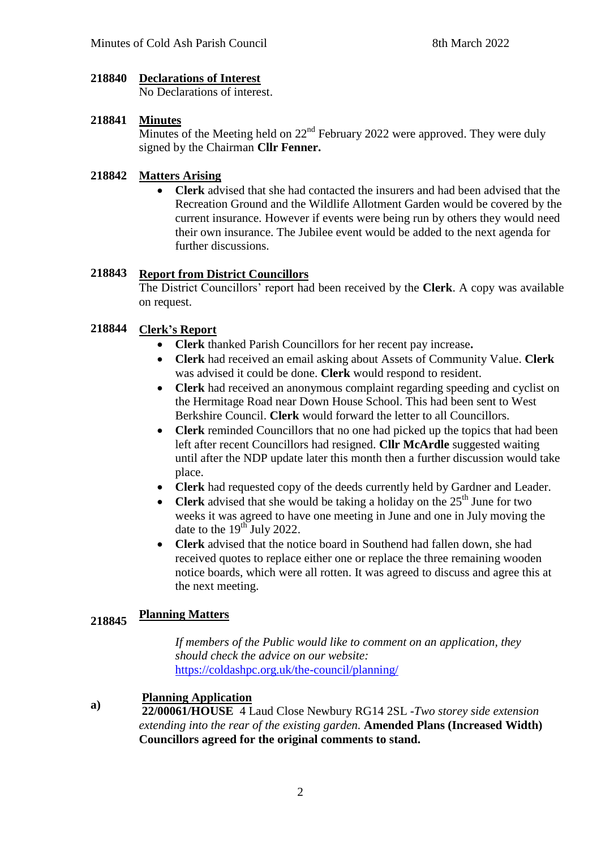#### **218840 Declarations of Interest**

No Declarations of interest.

## **218841 Minutes**

Minutes of the Meeting held on  $22<sup>nd</sup>$  February 2022 were approved. They were duly signed by the Chairman **Cllr Fenner.**

#### **218842 Matters Arising**

 **Clerk** advised that she had contacted the insurers and had been advised that the Recreation Ground and the Wildlife Allotment Garden would be covered by the current insurance. However if events were being run by others they would need their own insurance. The Jubilee event would be added to the next agenda for further discussions.

#### **218843 Report from District Councillors**

The District Councillors' report had been received by the **Clerk**. A copy was available on request.

#### **218844 Clerk's Report**

- **Clerk** thanked Parish Councillors for her recent pay increase**.**
- **Clerk** had received an email asking about Assets of Community Value. **Clerk** was advised it could be done. **Clerk** would respond to resident.
- **Clerk** had received an anonymous complaint regarding speeding and cyclist on the Hermitage Road near Down House School. This had been sent to West Berkshire Council. **Clerk** would forward the letter to all Councillors.
- **Clerk** reminded Councillors that no one had picked up the topics that had been left after recent Councillors had resigned. **Cllr McArdle** suggested waiting until after the NDP update later this month then a further discussion would take place.
- **Clerk** had requested copy of the deeds currently held by Gardner and Leader.
- **Clerk** advised that she would be taking a holiday on the  $25<sup>th</sup>$  June for two weeks it was agreed to have one meeting in June and one in July moving the date to the  $19^{th}$  July 2022.
- **Clerk** advised that the notice board in Southend had fallen down, she had received quotes to replace either one or replace the three remaining wooden notice boards, which were all rotten. It was agreed to discuss and agree this at the next meeting.

### **218845 Planning Matters**

 *If members of the Public would like to comment on an application, they should check the advice on our website:* <https://coldashpc.org.uk/the-council/planning/>

### **a) Planning Application**

**22/00061/HOUSE** 4 Laud Close Newbury RG14 2SL -*Two storey side extension extending into the rear of the existing garden.* **Amended Plans (Increased Width) Councillors agreed for the original comments to stand.**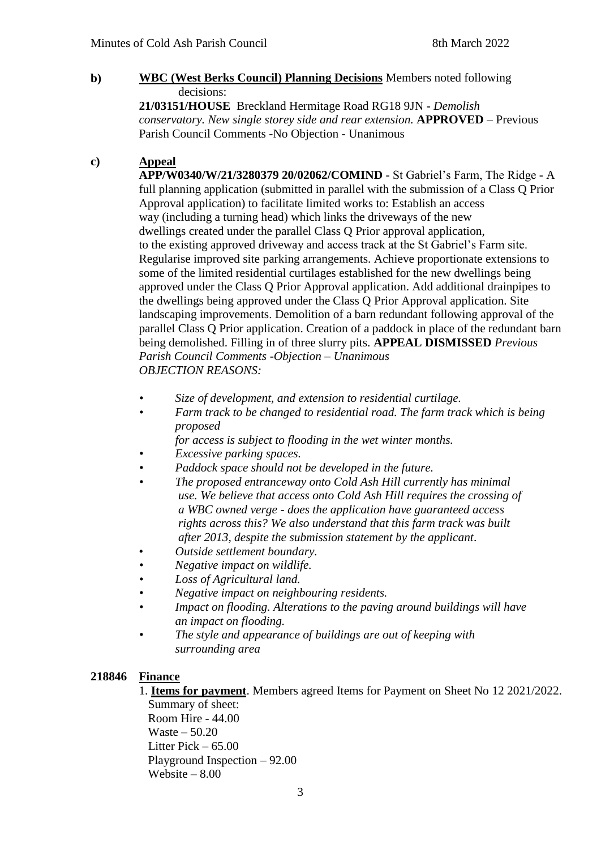### **b) WBC (West Berks Council) Planning Decisions** Members noted following decisions:

**21/03151/HOUSE** Breckland Hermitage Road RG18 9JN - *Demolish conservatory. New single storey side and rear extension.* **APPROVED** *–* Previous Parish Council Comments -No Objection - Unanimous

### **c) Appeal**

**APP/W0340/W/21/3280379 20/02062/COMIND** - St Gabriel's Farm, The Ridge - A full planning application (submitted in parallel with the submission of a Class Q Prior Approval application) to facilitate limited works to: Establish an access way (including a turning head) which links the driveways of the new dwellings created under the parallel Class Q Prior approval application, to the existing approved driveway and access track at the St Gabriel's Farm site. Regularise improved site parking arrangements. Achieve proportionate extensions to some of the limited residential curtilages established for the new dwellings being approved under the Class Q Prior Approval application. Add additional drainpipes to the dwellings being approved under the Class Q Prior Approval application. Site landscaping improvements. Demolition of a barn redundant following approval of the parallel Class Q Prior application. Creation of a paddock in place of the redundant barn being demolished. Filling in of three slurry pits. **APPEAL DISMISSED** *Previous Parish Council Comments -Objection – Unanimous OBJECTION REASONS:*

- *• Size of development, and extension to residential curtilage.*
- *• Farm track to be changed to residential road. The farm track which is being proposed*

 *for access is subject to flooding in the wet winter months.*

- *• Excessive parking spaces.*
- *• Paddock space should not be developed in the future.*
- *• The proposed entranceway onto Cold Ash Hill currently has minimal use. We believe that access onto Cold Ash Hill requires the crossing of a WBC owned verge - does the application have guaranteed access rights across this? We also understand that this farm track was built after 2013, despite the submission statement by the applicant*.
- *Outside settlement boundary.*
- *• Negative impact on wildlife.*
- *• Loss of Agricultural land.*
- *• Negative impact on neighbouring residents.*
- *• Impact on flooding. Alterations to the paving around buildings will have an impact on flooding.*
- *• The style and appearance of buildings are out of keeping with surrounding area*

## **218846 Finance**

1. **Items for payment**. Members agreed Items for Payment on Sheet No 12 2021/2022. Summary of sheet:

 Room Hire - 44.00 Waste – 50.20 Litter Pick  $-65.00$  Playground Inspection – 92.00 Website – 8.00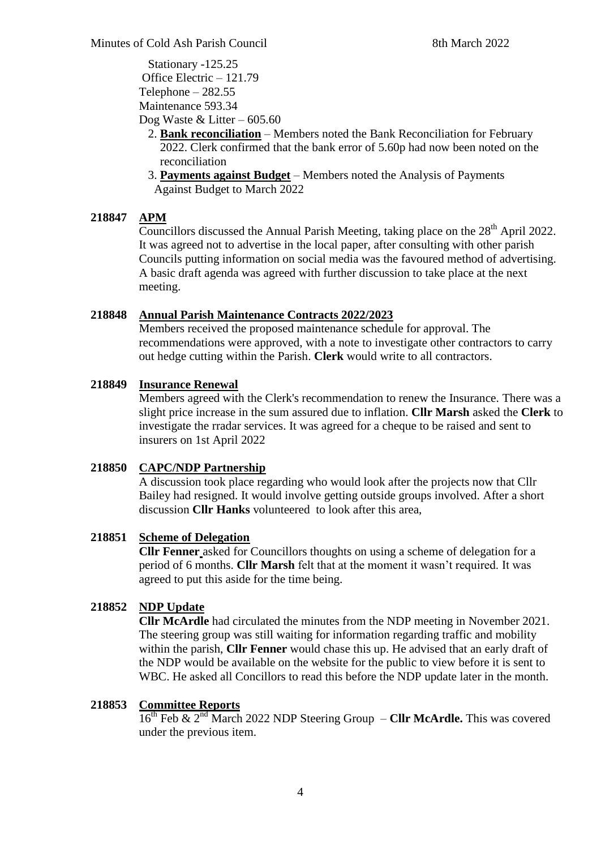Stationary -125.25 Office Electric – 121.79 Telephone – 282.55 Maintenance 593.34 Dog Waste & Litter – 605.60

- 2. **Bank reconciliation** Members noted the Bank Reconciliation for February 2022. Clerk confirmed that the bank error of 5.60p had now been noted on the reconciliation
- 3. **Payments against Budget** Members noted the Analysis of Payments Against Budget to March 2022

# **218847 APM**

Councillors discussed the Annual Parish Meeting, taking place on the  $28<sup>th</sup>$  April 2022. It was agreed not to advertise in the local paper, after consulting with other parish Councils putting information on social media was the favoured method of advertising. A basic draft agenda was agreed with further discussion to take place at the next meeting.

### **218848 Annual Parish Maintenance Contracts 2022/2023**

Members received the proposed maintenance schedule for approval. The recommendations were approved, with a note to investigate other contractors to carry out hedge cutting within the Parish. **Clerk** would write to all contractors.

### **218849 Insurance Renewal**

Members agreed with the Clerk's recommendation to renew the Insurance. There was a slight price increase in the sum assured due to inflation. **Cllr Marsh** asked the **Clerk** to investigate the rradar services. It was agreed for a cheque to be raised and sent to insurers on 1st April 2022

# **218850 CAPC/NDP Partnership**

A discussion took place regarding who would look after the projects now that Cllr Bailey had resigned. It would involve getting outside groups involved. After a short discussion **Cllr Hanks** volunteered to look after this area,

### **218851 Scheme of Delegation**

**Cllr Fenner** asked for Councillors thoughts on using a scheme of delegation for a period of 6 months. **Cllr Marsh** felt that at the moment it wasn't required. It was agreed to put this aside for the time being.

# **218852 NDP Update**

**Cllr McArdle** had circulated the minutes from the NDP meeting in November 2021. The steering group was still waiting for information regarding traffic and mobility within the parish, **Cllr Fenner** would chase this up. He advised that an early draft of the NDP would be available on the website for the public to view before it is sent to WBC. He asked all Concillors to read this before the NDP update later in the month.

# **218853 Committee Reports**

16th Feb & 2nd March 2022 NDP Steering Group – **Cllr McArdle.** This was covered under the previous item.